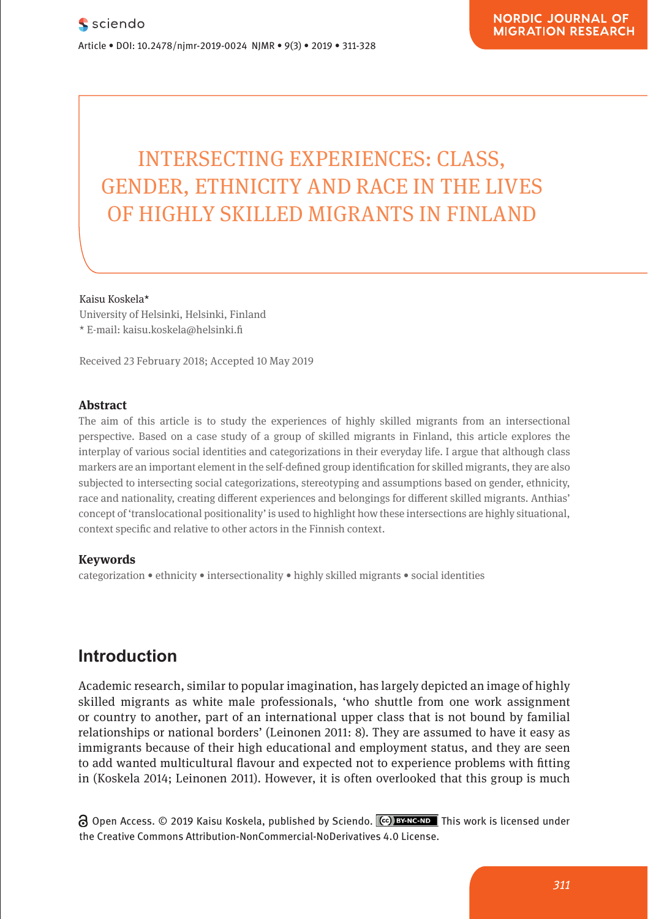# INTERSECTING EXPERIENCES: CLASS, GENDER, ETHNICITY AND RACE IN THE LIVES OF HIGHLY SKILLED MIGRANTS IN FINLAND

#### Kaisu Koskela\*

University of Helsinki, Helsinki, Finland \* E-mail: kaisu.koskela@helsinki.fi

Received 23 February 2018; Accepted 10 May 2019

#### **Abstract**

The aim of this article is to study the experiences of highly skilled migrants from an intersectional perspective. Based on a case study of a group of skilled migrants in Finland, this article explores the interplay of various social identities and categorizations in their everyday life. I argue that although class markers are an important element in the self-defined group identification for skilled migrants, they are also subjected to intersecting social categorizations, stereotyping and assumptions based on gender, ethnicity, race and nationality, creating different experiences and belongings for different skilled migrants. Anthias' concept of 'translocational positionality' is used to highlight how these intersections are highly situational, context specific and relative to other actors in the Finnish context.

#### **Keywords**

categorization • ethnicity • intersectionality • highly skilled migrants • social identities

# **Introduction**

Academic research, similar to popular imagination, has largely depicted an image of highly skilled migrants as white male professionals, 'who shuttle from one work assignment or country to another, part of an international upper class that is not bound by familial relationships or national borders' (Leinonen 2011: 8). They are assumed to have it easy as immigrants because of their high educational and employment status, and they are seen to add wanted multicultural flavour and expected not to experience problems with fitting in (Koskela 2014; Leinonen 2011). However, it is often overlooked that this group is much

Open Access. © 2019 Kaisu Koskela, published by Sciendo. This work is licensed under the Creative Commons Attribution-NonCommercial-NoDerivatives 4.0 License.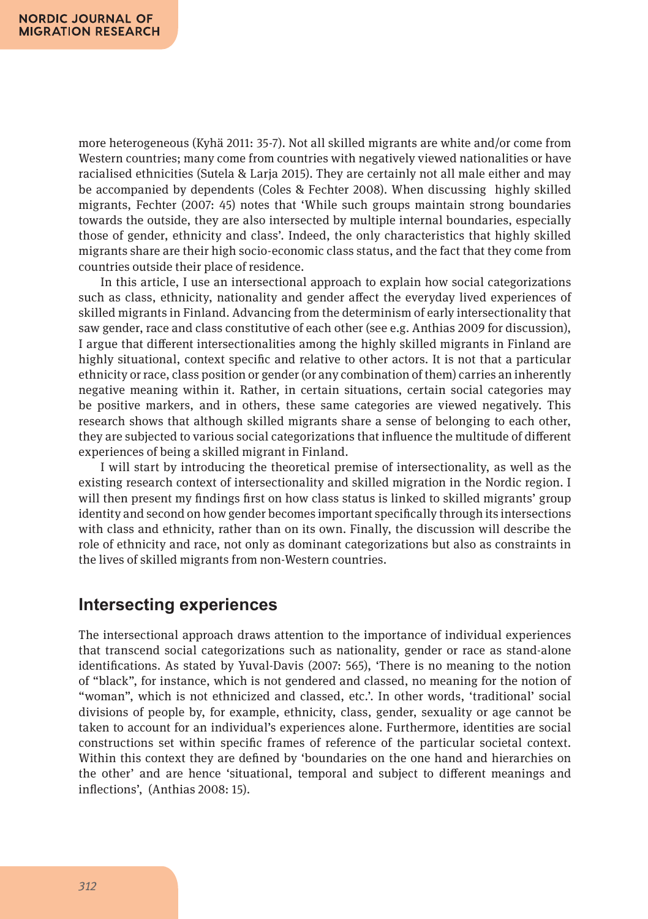more heterogeneous (Kyhä 2011: 35-7). Not all skilled migrants are white and/or come from Western countries; many come from countries with negatively viewed nationalities or have racialised ethnicities (Sutela & Larja 2015). They are certainly not all male either and may be accompanied by dependents (Coles & Fechter 2008). When discussing highly skilled migrants, Fechter (2007: 45) notes that 'While such groups maintain strong boundaries towards the outside, they are also intersected by multiple internal boundaries, especially those of gender, ethnicity and class'. Indeed, the only characteristics that highly skilled migrants share are their high socio-economic class status, and the fact that they come from countries outside their place of residence.

In this article, I use an intersectional approach to explain how social categorizations such as class, ethnicity, nationality and gender affect the everyday lived experiences of skilled migrants in Finland. Advancing from the determinism of early intersectionality that saw gender, race and class constitutive of each other (see e.g. Anthias 2009 for discussion), I argue that different intersectionalities among the highly skilled migrants in Finland are highly situational, context specific and relative to other actors. It is not that a particular ethnicity or race, class position or gender (or any combination of them) carries an inherently negative meaning within it. Rather, in certain situations, certain social categories may be positive markers, and in others, these same categories are viewed negatively. This research shows that although skilled migrants share a sense of belonging to each other, they are subjected to various social categorizations that influence the multitude of different experiences of being a skilled migrant in Finland.

I will start by introducing the theoretical premise of intersectionality, as well as the existing research context of intersectionality and skilled migration in the Nordic region. I will then present my findings first on how class status is linked to skilled migrants' group identity and second on how gender becomes important specifically through its intersections with class and ethnicity, rather than on its own. Finally, the discussion will describe the role of ethnicity and race, not only as dominant categorizations but also as constraints in the lives of skilled migrants from non-Western countries.

### **Intersecting experiences**

The intersectional approach draws attention to the importance of individual experiences that transcend social categorizations such as nationality, gender or race as stand-alone identifications. As stated by Yuval-Davis (2007: 565), 'There is no meaning to the notion of "black", for instance, which is not gendered and classed, no meaning for the notion of "woman", which is not ethnicized and classed, etc.'. In other words, 'traditional' social divisions of people by, for example, ethnicity, class, gender, sexuality or age cannot be taken to account for an individual's experiences alone. Furthermore, identities are social constructions set within specific frames of reference of the particular societal context. Within this context they are defined by 'boundaries on the one hand and hierarchies on the other' and are hence 'situational, temporal and subject to different meanings and inflections', (Anthias 2008: 15).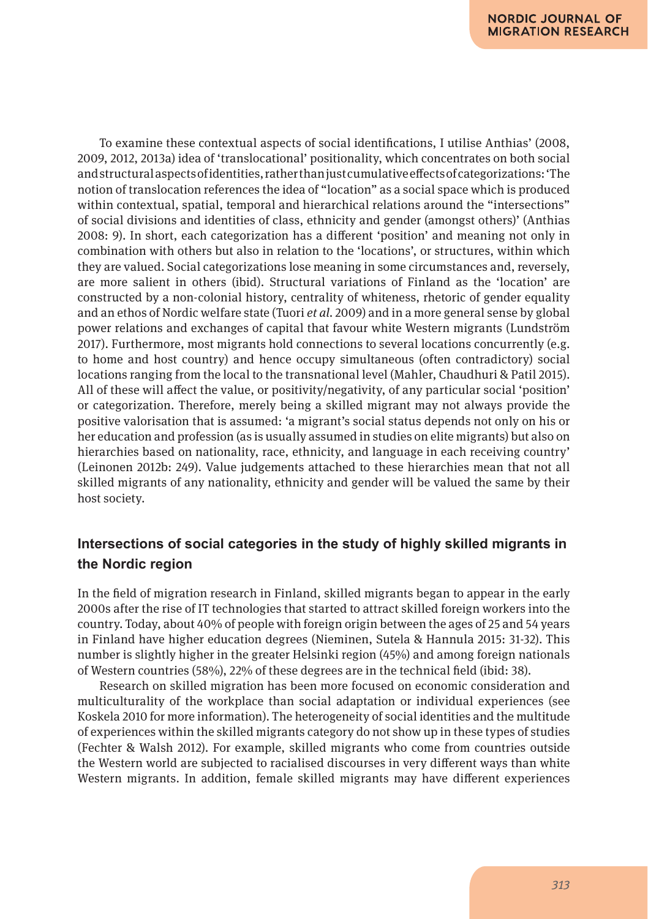To examine these contextual aspects of social identifications, I utilise Anthias' (2008, 2009, 2012, 2013a) idea of 'translocational' positionality, which concentrates on both social and structural aspects of identities, rather than just cumulative effects of categorizations: 'The notion of translocation references the idea of "location" as a social space which is produced within contextual, spatial, temporal and hierarchical relations around the "intersections" of social divisions and identities of class, ethnicity and gender (amongst others)' (Anthias 2008: 9). In short, each categorization has a different 'position' and meaning not only in combination with others but also in relation to the 'locations', or structures, within which they are valued. Social categorizations lose meaning in some circumstances and, reversely, are more salient in others (ibid). Structural variations of Finland as the 'location' are constructed by a non-colonial history, centrality of whiteness, rhetoric of gender equality and an ethos of Nordic welfare state (Tuori *et al*. 2009) and in a more general sense by global power relations and exchanges of capital that favour white Western migrants (Lundström 2017). Furthermore, most migrants hold connections to several locations concurrently (e.g. to home and host country) and hence occupy simultaneous (often contradictory) social locations ranging from the local to the transnational level (Mahler, Chaudhuri & Patil 2015). All of these will affect the value, or positivity/negativity, of any particular social 'position' or categorization. Therefore, merely being a skilled migrant may not always provide the positive valorisation that is assumed: 'a migrant's social status depends not only on his or her education and profession (as is usually assumed in studies on elite migrants) but also on hierarchies based on nationality, race, ethnicity, and language in each receiving country' (Leinonen 2012b: 249). Value judgements attached to these hierarchies mean that not all skilled migrants of any nationality, ethnicity and gender will be valued the same by their host society.

### **Intersections of social categories in the study of highly skilled migrants in the Nordic region**

In the field of migration research in Finland, skilled migrants began to appear in the early 2000s after the rise of IT technologies that started to attract skilled foreign workers into the country. Today, about 40% of people with foreign origin between the ages of 25 and 54 years in Finland have higher education degrees (Nieminen, Sutela & Hannula 2015: 31-32). This number is slightly higher in the greater Helsinki region (45%) and among foreign nationals of Western countries (58%), 22% of these degrees are in the technical field (ibid: 38).

Research on skilled migration has been more focused on economic consideration and multiculturality of the workplace than social adaptation or individual experiences (see Koskela 2010 for more information). The heterogeneity of social identities and the multitude of experiences within the skilled migrants category do not show up in these types of studies (Fechter & Walsh 2012). For example, skilled migrants who come from countries outside the Western world are subjected to racialised discourses in very different ways than white Western migrants. In addition, female skilled migrants may have different experiences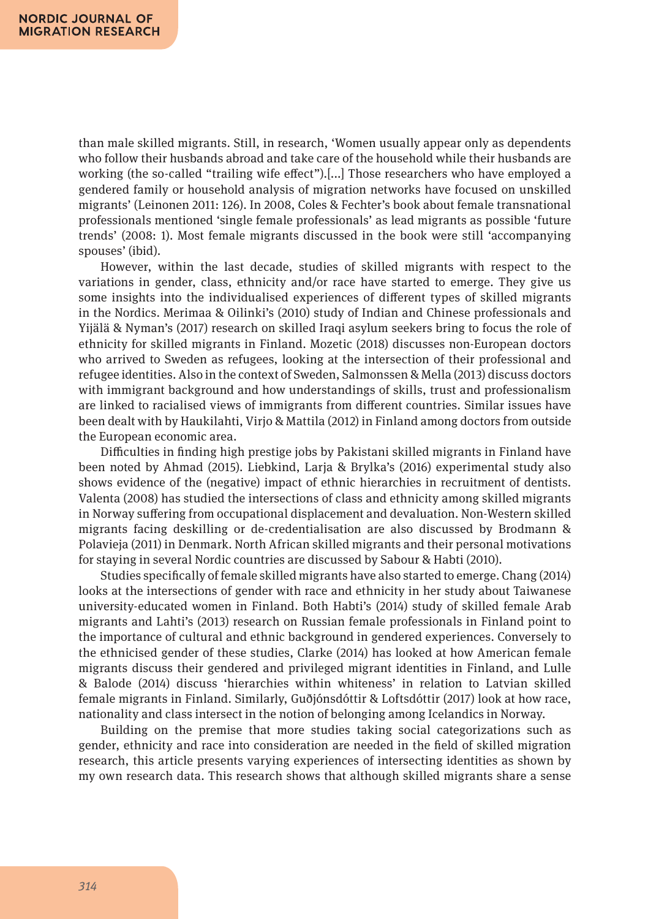than male skilled migrants. Still, in research, 'Women usually appear only as dependents who follow their husbands abroad and take care of the household while their husbands are working (the so-called "trailing wife effect").[...] Those researchers who have employed a gendered family or household analysis of migration networks have focused on unskilled migrants' (Leinonen 2011: 126). In 2008, Coles & Fechter's book about female transnational professionals mentioned 'single female professionals' as lead migrants as possible 'future trends' (2008: 1). Most female migrants discussed in the book were still 'accompanying spouses' (ibid).

However, within the last decade, studies of skilled migrants with respect to the variations in gender, class, ethnicity and/or race have started to emerge. They give us some insights into the individualised experiences of different types of skilled migrants in the Nordics. Merimaa & Oilinki's (2010) study of Indian and Chinese professionals and Yijälä & Nyman's (2017) research on skilled Iraqi asylum seekers bring to focus the role of ethnicity for skilled migrants in Finland. Mozetic (2018) discusses non-European doctors who arrived to Sweden as refugees, looking at the intersection of their professional and refugee identities. Also in the context of Sweden, Salmonssen & Mella (2013) discuss doctors with immigrant background and how understandings of skills, trust and professionalism are linked to racialised views of immigrants from different countries. Similar issues have been dealt with by Haukilahti, Virjo & Mattila (2012) in Finland among doctors from outside the European economic area.

Difficulties in finding high prestige jobs by Pakistani skilled migrants in Finland have been noted by Ahmad (2015). Liebkind, Larja & Brylka's (2016) experimental study also shows evidence of the (negative) impact of ethnic hierarchies in recruitment of dentists. Valenta (2008) has studied the intersections of class and ethnicity among skilled migrants in Norway suffering from occupational displacement and devaluation. Non-Western skilled migrants facing deskilling or de-credentialisation are also discussed by Brodmann & Polavieja (2011) in Denmark. North African skilled migrants and their personal motivations for staying in several Nordic countries are discussed by Sabour & Habti (2010).

Studies specifically of female skilled migrants have also started to emerge. Chang (2014) looks at the intersections of gender with race and ethnicity in her study about Taiwanese university-educated women in Finland. Both Habti's (2014) study of skilled female Arab migrants and Lahti's (2013) research on Russian female professionals in Finland point to the importance of cultural and ethnic background in gendered experiences. Conversely to the ethnicised gender of these studies, Clarke (2014) has looked at how American female migrants discuss their gendered and privileged migrant identities in Finland, and Lulle & Balode (2014) discuss 'hierarchies within whiteness' in relation to Latvian skilled female migrants in Finland. Similarly, Guðjónsdóttir & Loftsdóttir (2017) look at how race, nationality and class intersect in the notion of belonging among Icelandics in Norway.

Building on the premise that more studies taking social categorizations such as gender, ethnicity and race into consideration are needed in the field of skilled migration research, this article presents varying experiences of intersecting identities as shown by my own research data. This research shows that although skilled migrants share a sense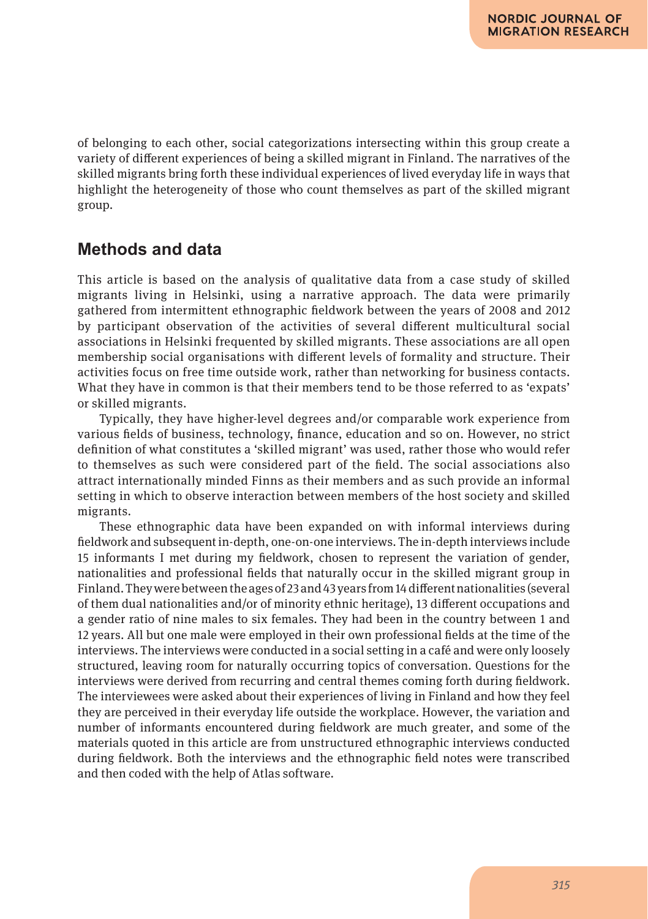of belonging to each other, social categorizations intersecting within this group create a variety of different experiences of being a skilled migrant in Finland. The narratives of the skilled migrants bring forth these individual experiences of lived everyday life in ways that highlight the heterogeneity of those who count themselves as part of the skilled migrant group.

### **Methods and data**

This article is based on the analysis of qualitative data from a case study of skilled migrants living in Helsinki, using a narrative approach. The data were primarily gathered from intermittent ethnographic fieldwork between the years of 2008 and 2012 by participant observation of the activities of several different multicultural social associations in Helsinki frequented by skilled migrants. These associations are all open membership social organisations with different levels of formality and structure. Their activities focus on free time outside work, rather than networking for business contacts. What they have in common is that their members tend to be those referred to as 'expats' or skilled migrants.

Typically, they have higher-level degrees and/or comparable work experience from various fields of business, technology, finance, education and so on. However, no strict definition of what constitutes a 'skilled migrant' was used, rather those who would refer to themselves as such were considered part of the field. The social associations also attract internationally minded Finns as their members and as such provide an informal setting in which to observe interaction between members of the host society and skilled migrants.

These ethnographic data have been expanded on with informal interviews during fieldwork and subsequent in-depth, one-on-one interviews. The in-depth interviews include 15 informants I met during my fieldwork, chosen to represent the variation of gender, nationalities and professional fields that naturally occur in the skilled migrant group in Finland. They were between the ages of 23 and 43 years from 14 different nationalities (several of them dual nationalities and/or of minority ethnic heritage), 13 different occupations and a gender ratio of nine males to six females. They had been in the country between 1 and 12 years. All but one male were employed in their own professional fields at the time of the interviews. The interviews were conducted in a social setting in a café and were only loosely structured, leaving room for naturally occurring topics of conversation. Questions for the interviews were derived from recurring and central themes coming forth during fieldwork. The interviewees were asked about their experiences of living in Finland and how they feel they are perceived in their everyday life outside the workplace. However, the variation and number of informants encountered during fieldwork are much greater, and some of the materials quoted in this article are from unstructured ethnographic interviews conducted during fieldwork. Both the interviews and the ethnographic field notes were transcribed and then coded with the help of Atlas software.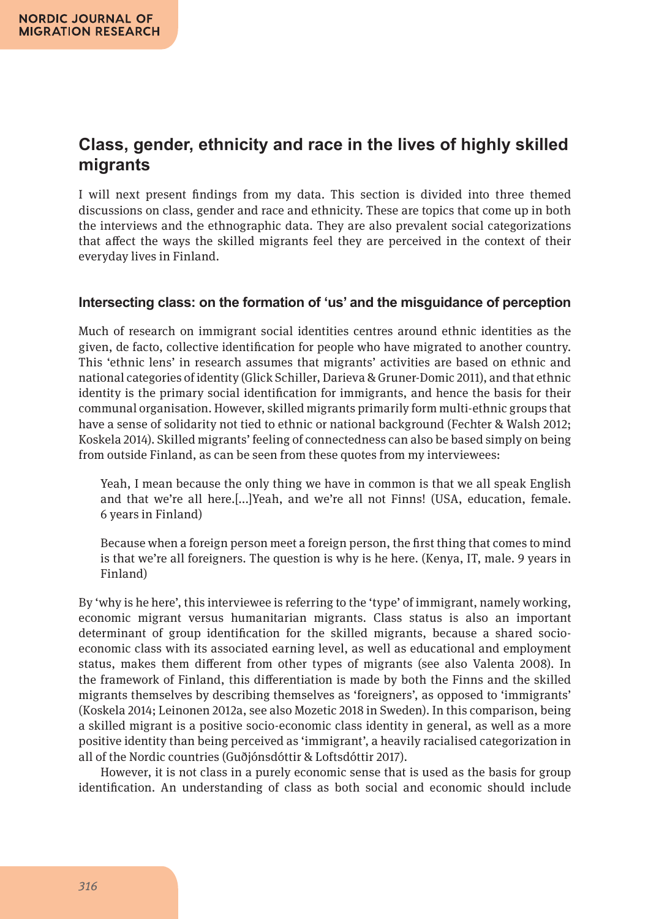# **Class, gender, ethnicity and race in the lives of highly skilled migrants**

I will next present findings from my data. This section is divided into three themed discussions on class, gender and race and ethnicity. These are topics that come up in both the interviews and the ethnographic data. They are also prevalent social categorizations that affect the ways the skilled migrants feel they are perceived in the context of their everyday lives in Finland.

#### **Intersecting class: on the formation of 'us' and the misguidance of perception**

Much of research on immigrant social identities centres around ethnic identities as the given, de facto, collective identification for people who have migrated to another country. This 'ethnic lens' in research assumes that migrants' activities are based on ethnic and national categories of identity (Glick Schiller, Darieva & Gruner-Domic 2011), and that ethnic identity is the primary social identification for immigrants, and hence the basis for their communal organisation. However, skilled migrants primarily form multi-ethnic groups that have a sense of solidarity not tied to ethnic or national background (Fechter & Walsh 2012; Koskela 2014). Skilled migrants' feeling of connectedness can also be based simply on being from outside Finland, as can be seen from these quotes from my interviewees:

Yeah, I mean because the only thing we have in common is that we all speak English and that we're all here.[...]Yeah, and we're all not Finns! (USA, education, female. 6 years in Finland)

Because when a foreign person meet a foreign person, the first thing that comes to mind is that we're all foreigners. The question is why is he here. (Kenya, IT, male. 9 years in Finland)

By 'why is he here', this interviewee is referring to the 'type' of immigrant, namely working, economic migrant versus humanitarian migrants. Class status is also an important determinant of group identification for the skilled migrants, because a shared socioeconomic class with its associated earning level, as well as educational and employment status, makes them different from other types of migrants (see also Valenta 2008). In the framework of Finland, this differentiation is made by both the Finns and the skilled migrants themselves by describing themselves as 'foreigners', as opposed to 'immigrants' (Koskela 2014; Leinonen 2012a, see also Mozetic 2018 in Sweden). In this comparison, being a skilled migrant is a positive socio-economic class identity in general, as well as a more positive identity than being perceived as 'immigrant', a heavily racialised categorization in all of the Nordic countries (Guðjónsdóttir & Loftsdóttir 2017).

However, it is not class in a purely economic sense that is used as the basis for group identification. An understanding of class as both social and economic should include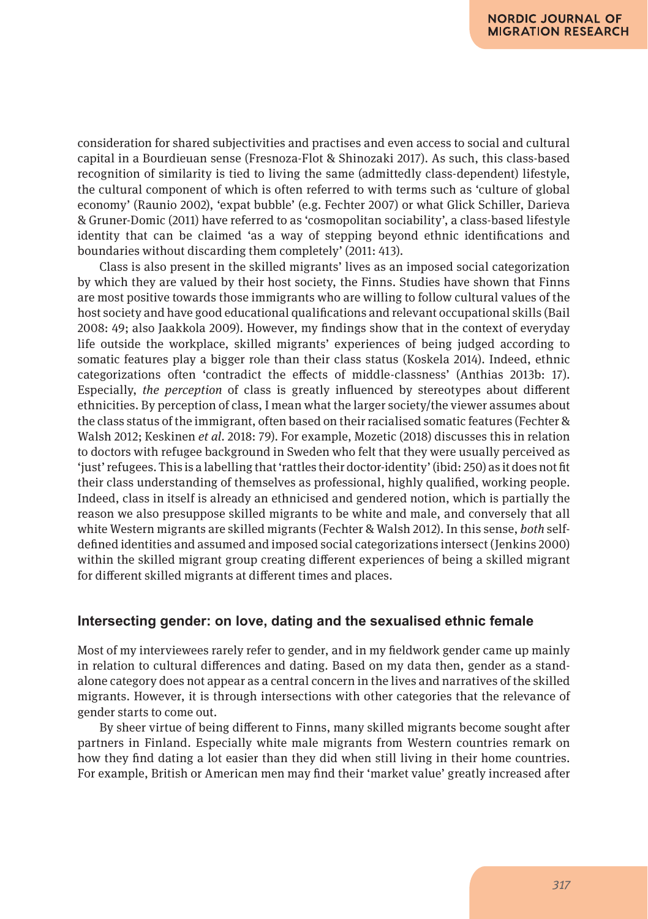consideration for shared subjectivities and practises and even access to social and cultural capital in a Bourdieuan sense (Fresnoza-Flot & Shinozaki 2017). As such, this class-based recognition of similarity is tied to living the same (admittedly class-dependent) lifestyle, the cultural component of which is often referred to with terms such as 'culture of global economy' (Raunio 2002), 'expat bubble' (e.g. Fechter 2007) or what Glick Schiller, Darieva & Gruner-Domic (2011) have referred to as 'cosmopolitan sociability', a class-based lifestyle identity that can be claimed 'as a way of stepping beyond ethnic identifications and boundaries without discarding them completely' (2011: 413).

Class is also present in the skilled migrants' lives as an imposed social categorization by which they are valued by their host society, the Finns. Studies have shown that Finns are most positive towards those immigrants who are willing to follow cultural values of the host society and have good educational qualifications and relevant occupational skills (Bail 2008: 49; also Jaakkola 2009). However, my findings show that in the context of everyday life outside the workplace, skilled migrants' experiences of being judged according to somatic features play a bigger role than their class status (Koskela 2014). Indeed, ethnic categorizations often 'contradict the effects of middle-classness' (Anthias 2013b: 17). Especially, *the perception* of class is greatly influenced by stereotypes about different ethnicities. By perception of class, I mean what the larger society/the viewer assumes about the class status of the immigrant, often based on their racialised somatic features (Fechter & Walsh 2012; Keskinen *et al*. 2018: 79). For example, Mozetic (2018) discusses this in relation to doctors with refugee background in Sweden who felt that they were usually perceived as 'just' refugees. This is a labelling that 'rattles their doctor-identity' (ibid: 250) as it does not fit their class understanding of themselves as professional, highly qualified, working people. Indeed, class in itself is already an ethnicised and gendered notion, which is partially the reason we also presuppose skilled migrants to be white and male, and conversely that all white Western migrants are skilled migrants (Fechter & Walsh 2012). In this sense, *both* selfdefined identities and assumed and imposed social categorizations intersect (Jenkins 2000) within the skilled migrant group creating different experiences of being a skilled migrant for different skilled migrants at different times and places.

#### **Intersecting gender: on love, dating and the sexualised ethnic female**

Most of my interviewees rarely refer to gender, and in my fieldwork gender came up mainly in relation to cultural differences and dating. Based on my data then, gender as a standalone category does not appear as a central concern in the lives and narratives of the skilled migrants. However, it is through intersections with other categories that the relevance of gender starts to come out.

By sheer virtue of being different to Finns, many skilled migrants become sought after partners in Finland. Especially white male migrants from Western countries remark on how they find dating a lot easier than they did when still living in their home countries. For example, British or American men may find their 'market value' greatly increased after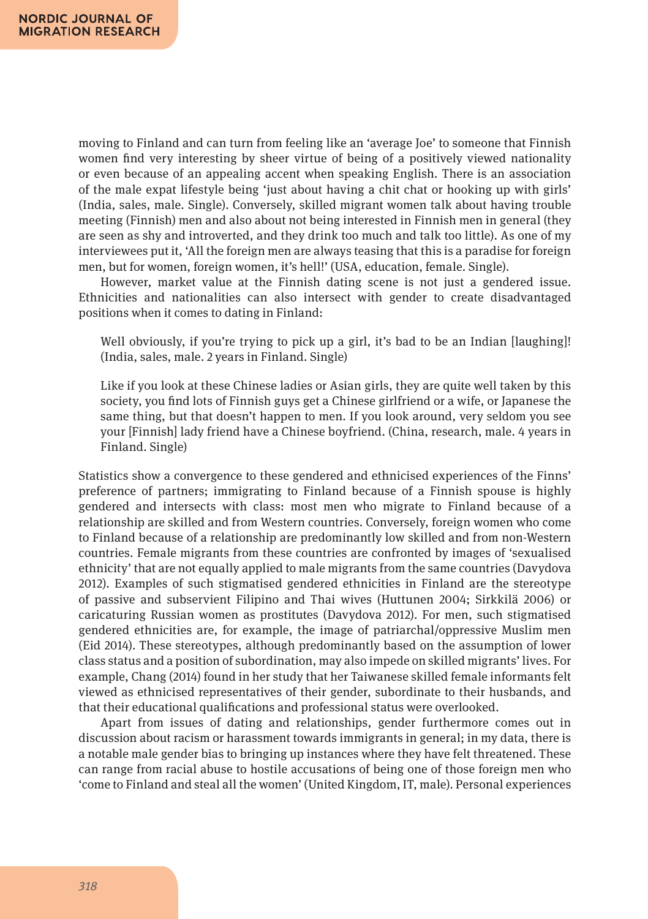moving to Finland and can turn from feeling like an 'average Joe' to someone that Finnish women find very interesting by sheer virtue of being of a positively viewed nationality or even because of an appealing accent when speaking English. There is an association of the male expat lifestyle being 'just about having a chit chat or hooking up with girls' (India, sales, male. Single). Conversely, skilled migrant women talk about having trouble meeting (Finnish) men and also about not being interested in Finnish men in general (they are seen as shy and introverted, and they drink too much and talk too little). As one of my interviewees put it, 'All the foreign men are always teasing that this is a paradise for foreign men, but for women, foreign women, it's hell!' (USA, education, female. Single).

However, market value at the Finnish dating scene is not just a gendered issue. Ethnicities and nationalities can also intersect with gender to create disadvantaged positions when it comes to dating in Finland:

Well obviously, if you're trying to pick up a girl, it's bad to be an Indian [laughing]! (India, sales, male. 2 years in Finland. Single)

Like if you look at these Chinese ladies or Asian girls, they are quite well taken by this society, you find lots of Finnish guys get a Chinese girlfriend or a wife, or Japanese the same thing, but that doesn't happen to men. If you look around, very seldom you see your [Finnish] lady friend have a Chinese boyfriend. (China, research, male. 4 years in Finland. Single)

Statistics show a convergence to these gendered and ethnicised experiences of the Finns' preference of partners; immigrating to Finland because of a Finnish spouse is highly gendered and intersects with class: most men who migrate to Finland because of a relationship are skilled and from Western countries. Conversely, foreign women who come to Finland because of a relationship are predominantly low skilled and from non-Western countries. Female migrants from these countries are confronted by images of 'sexualised ethnicity' that are not equally applied to male migrants from the same countries (Davydova 2012). Examples of such stigmatised gendered ethnicities in Finland are the stereotype of passive and subservient Filipino and Thai wives (Huttunen 2004; Sirkkilä 2006) or caricaturing Russian women as prostitutes (Davydova 2012). For men, such stigmatised gendered ethnicities are, for example, the image of patriarchal/oppressive Muslim men (Eid 2014). These stereotypes, although predominantly based on the assumption of lower class status and a position of subordination, may also impede on skilled migrants' lives. For example, Chang (2014) found in her study that her Taiwanese skilled female informants felt viewed as ethnicised representatives of their gender, subordinate to their husbands, and that their educational qualifications and professional status were overlooked.

Apart from issues of dating and relationships, gender furthermore comes out in discussion about racism or harassment towards immigrants in general; in my data, there is a notable male gender bias to bringing up instances where they have felt threatened. These can range from racial abuse to hostile accusations of being one of those foreign men who 'come to Finland and steal all the women' (United Kingdom, IT, male)*.* Personal experiences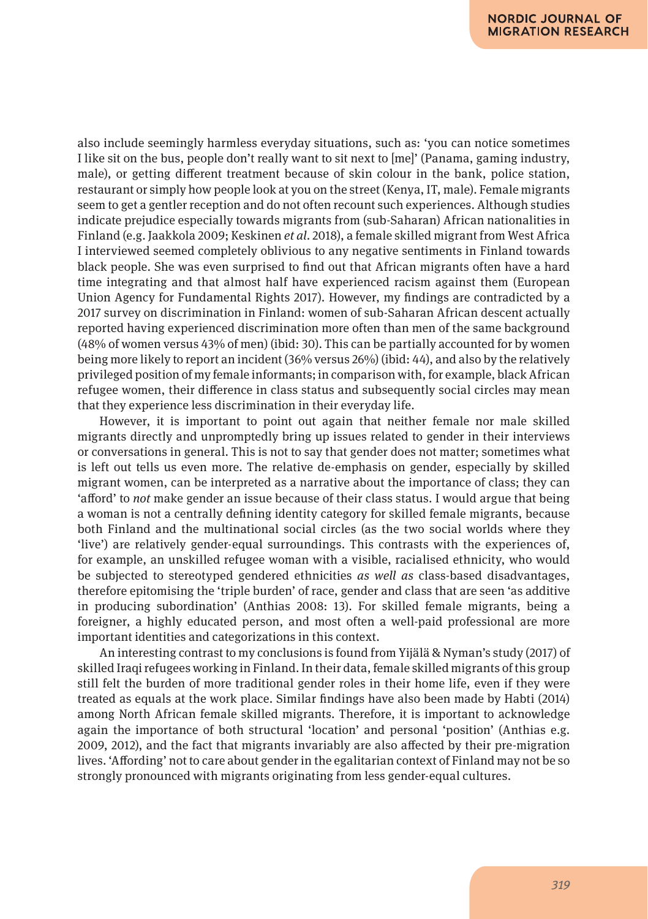also include seemingly harmless everyday situations, such as: 'you can notice sometimes I like sit on the bus, people don't really want to sit next to [me]' (Panama, gaming industry, male), or getting different treatment because of skin colour in the bank, police station, restaurant or simply how people look at you on the street (Kenya, IT, male). Female migrants seem to get a gentler reception and do not often recount such experiences. Although studies indicate prejudice especially towards migrants from (sub-Saharan) African nationalities in Finland (e.g. Jaakkola 2009; Keskinen *et al*. 2018), a female skilled migrant from West Africa I interviewed seemed completely oblivious to any negative sentiments in Finland towards black people. She was even surprised to find out that African migrants often have a hard time integrating and that almost half have experienced racism against them (European Union Agency for Fundamental Rights 2017). However, my findings are contradicted by a 2017 survey on discrimination in Finland: women of sub-Saharan African descent actually reported having experienced discrimination more often than men of the same background (48% of women versus 43% of men) (ibid: 30). This can be partially accounted for by women being more likely to report an incident (36% versus 26%) (ibid: 44), and also by the relatively privileged position of my female informants; in comparison with, for example, black African refugee women, their difference in class status and subsequently social circles may mean that they experience less discrimination in their everyday life.

However, it is important to point out again that neither female nor male skilled migrants directly and unpromptedly bring up issues related to gender in their interviews or conversations in general. This is not to say that gender does not matter; sometimes what is left out tells us even more. The relative de-emphasis on gender, especially by skilled migrant women, can be interpreted as a narrative about the importance of class; they can 'afford' to *not* make gender an issue because of their class status. I would argue that being a woman is not a centrally defining identity category for skilled female migrants, because both Finland and the multinational social circles (as the two social worlds where they 'live') are relatively gender-equal surroundings. This contrasts with the experiences of, for example, an unskilled refugee woman with a visible, racialised ethnicity, who would be subjected to stereotyped gendered ethnicities *as well as* class-based disadvantages, therefore epitomising the 'triple burden' of race, gender and class that are seen 'as additive in producing subordination' (Anthias 2008: 13). For skilled female migrants, being a foreigner, a highly educated person, and most often a well-paid professional are more important identities and categorizations in this context.

An interesting contrast to my conclusions is found from Yijälä & Nyman's study (2017) of skilled Iraqi refugees working in Finland. In their data, female skilled migrants of this group still felt the burden of more traditional gender roles in their home life, even if they were treated as equals at the work place. Similar findings have also been made by Habti (2014) among North African female skilled migrants. Therefore, it is important to acknowledge again the importance of both structural 'location' and personal 'position' (Anthias e.g. 2009, 2012), and the fact that migrants invariably are also affected by their pre-migration lives. 'Affording' not to care about gender in the egalitarian context of Finland may not be so strongly pronounced with migrants originating from less gender-equal cultures.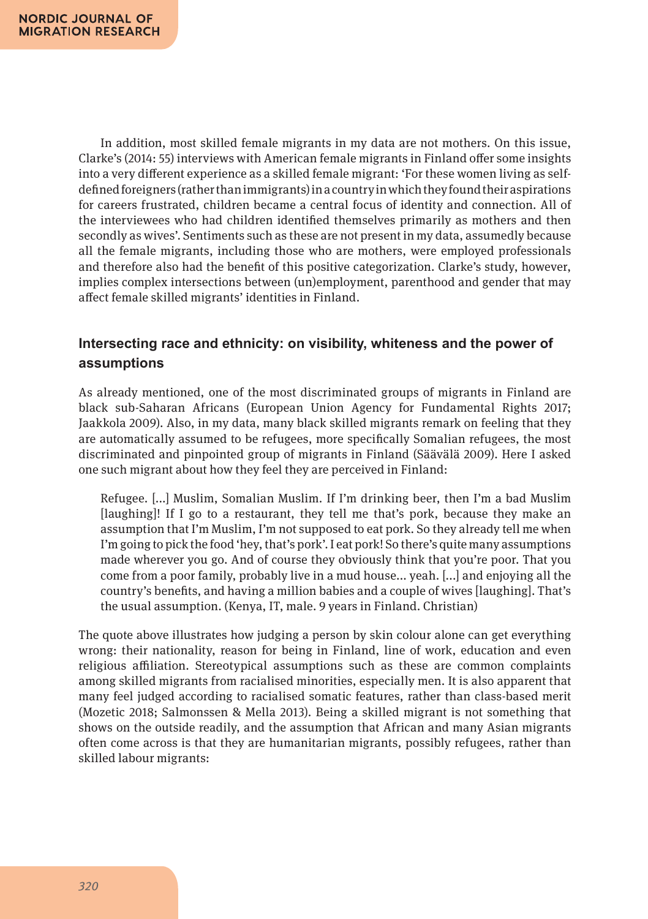In addition, most skilled female migrants in my data are not mothers. On this issue, Clarke's (2014: 55) interviews with American female migrants in Finland offer some insights into a very different experience as a skilled female migrant: 'For these women living as selfdefined foreigners (rather than immigrants) in a country in which they found their aspirations for careers frustrated, children became a central focus of identity and connection. All of the interviewees who had children identified themselves primarily as mothers and then secondly as wives'. Sentiments such as these are not present in my data, assumedly because all the female migrants, including those who are mothers, were employed professionals and therefore also had the benefit of this positive categorization. Clarke's study, however, implies complex intersections between (un)employment, parenthood and gender that may affect female skilled migrants' identities in Finland.

### **Intersecting race and ethnicity: on visibility, whiteness and the power of assumptions**

As already mentioned, one of the most discriminated groups of migrants in Finland are black sub-Saharan Africans (European Union Agency for Fundamental Rights 2017; Jaakkola 2009). Also, in my data, many black skilled migrants remark on feeling that they are automatically assumed to be refugees, more specifically Somalian refugees, the most discriminated and pinpointed group of migrants in Finland (Säävälä 2009). Here I asked one such migrant about how they feel they are perceived in Finland:

Refugee. [...] Muslim, Somalian Muslim. If I'm drinking beer, then I'm a bad Muslim [laughing]! If I go to a restaurant, they tell me that's pork, because they make an assumption that I'm Muslim, I'm not supposed to eat pork. So they already tell me when I'm going to pick the food 'hey, that's pork'. I eat pork! So there's quite many assumptions made wherever you go. And of course they obviously think that you're poor. That you come from a poor family, probably live in a mud house... yeah. [...] and enjoying all the country's benefits, and having a million babies and a couple of wives [laughing]. That's the usual assumption. (Kenya, IT, male. 9 years in Finland. Christian)

The quote above illustrates how judging a person by skin colour alone can get everything wrong: their nationality, reason for being in Finland, line of work, education and even religious affiliation. Stereotypical assumptions such as these are common complaints among skilled migrants from racialised minorities, especially men. It is also apparent that many feel judged according to racialised somatic features, rather than class-based merit (Mozetic 2018; Salmonssen & Mella 2013). Being a skilled migrant is not something that shows on the outside readily, and the assumption that African and many Asian migrants often come across is that they are humanitarian migrants, possibly refugees, rather than skilled labour migrants: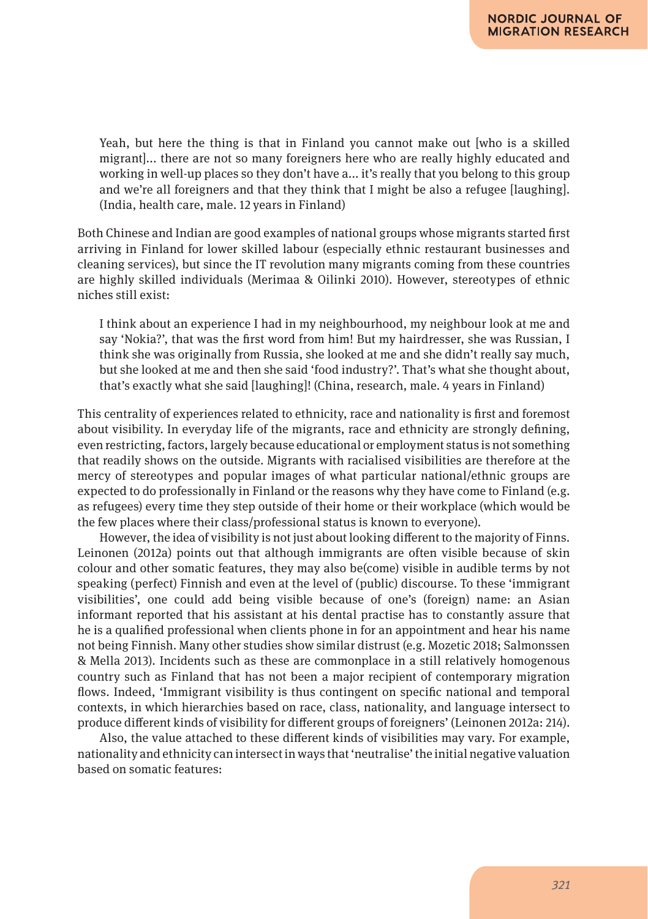Yeah, but here the thing is that in Finland you cannot make out [who is a skilled migrant]... there are not so many foreigners here who are really highly educated and working in well-up places so they don't have a... it's really that you belong to this group and we're all foreigners and that they think that I might be also a refugee [laughing]. (India, health care, male. 12 years in Finland)

Both Chinese and Indian are good examples of national groups whose migrants started first arriving in Finland for lower skilled labour (especially ethnic restaurant businesses and cleaning services), but since the IT revolution many migrants coming from these countries are highly skilled individuals (Merimaa & Oilinki 2010). However, stereotypes of ethnic niches still exist:

I think about an experience I had in my neighbourhood, my neighbour look at me and say 'Nokia?', that was the first word from him! But my hairdresser, she was Russian, I think she was originally from Russia, she looked at me and she didn't really say much, but she looked at me and then she said 'food industry?'. That's what she thought about, that's exactly what she said [laughing]! (China, research, male. 4 years in Finland)

This centrality of experiences related to ethnicity, race and nationality is first and foremost about visibility. In everyday life of the migrants, race and ethnicity are strongly defining, even restricting, factors, largely because educational or employment status is not something that readily shows on the outside. Migrants with racialised visibilities are therefore at the mercy of stereotypes and popular images of what particular national/ethnic groups are expected to do professionally in Finland or the reasons why they have come to Finland (e.g. as refugees) every time they step outside of their home or their workplace (which would be the few places where their class/professional status is known to everyone).

However, the idea of visibility is not just about looking different to the majority of Finns. Leinonen (2012a) points out that although immigrants are often visible because of skin colour and other somatic features, they may also be(come) visible in audible terms by not speaking (perfect) Finnish and even at the level of (public) discourse. To these 'immigrant visibilities', one could add being visible because of one's (foreign) name: an Asian informant reported that his assistant at his dental practise has to constantly assure that he is a qualified professional when clients phone in for an appointment and hear his name not being Finnish. Many other studies show similar distrust (e.g. Mozetic 2018; Salmonssen & Mella 2013). Incidents such as these are commonplace in a still relatively homogenous country such as Finland that has not been a major recipient of contemporary migration flows. Indeed, 'Immigrant visibility is thus contingent on specific national and temporal contexts, in which hierarchies based on race, class, nationality, and language intersect to produce different kinds of visibility for different groups of foreigners' (Leinonen 2012a: 214).

Also, the value attached to these different kinds of visibilities may vary. For example, nationality and ethnicity can intersect in ways that 'neutralise' the initial negative valuation based on somatic features: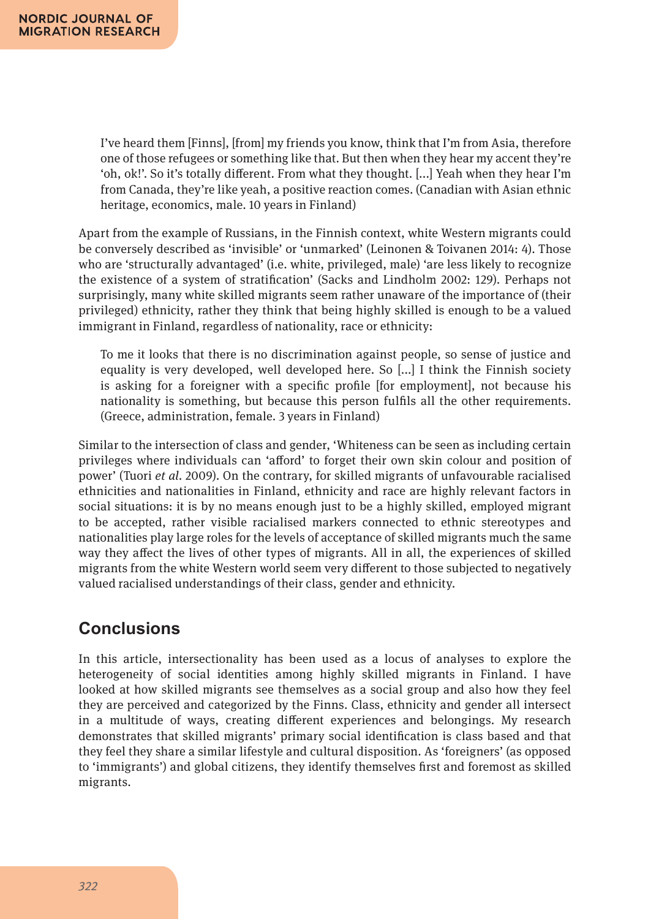I've heard them [Finns], [from] my friends you know, think that I'm from Asia, therefore one of those refugees or something like that. But then when they hear my accent they're 'oh, ok!'. So it's totally different. From what they thought. [...] Yeah when they hear I'm from Canada, they're like yeah, a positive reaction comes. (Canadian with Asian ethnic heritage, economics, male. 10 years in Finland)

Apart from the example of Russians, in the Finnish context, white Western migrants could be conversely described as 'invisible' or 'unmarked' (Leinonen & Toivanen 2014: 4). Those who are 'structurally advantaged' (i.e. white, privileged, male) 'are less likely to recognize the existence of a system of stratification' (Sacks and Lindholm 2002: 129). Perhaps not surprisingly, many white skilled migrants seem rather unaware of the importance of (their privileged) ethnicity, rather they think that being highly skilled is enough to be a valued immigrant in Finland, regardless of nationality, race or ethnicity:

To me it looks that there is no discrimination against people, so sense of justice and equality is very developed, well developed here. So [...] I think the Finnish society is asking for a foreigner with a specific profile [for employment], not because his nationality is something, but because this person fulfils all the other requirements. (Greece, administration, female. 3 years in Finland)

Similar to the intersection of class and gender, 'Whiteness can be seen as including certain privileges where individuals can 'afford' to forget their own skin colour and position of power' (Tuori *et al*. 2009). On the contrary, for skilled migrants of unfavourable racialised ethnicities and nationalities in Finland, ethnicity and race are highly relevant factors in social situations: it is by no means enough just to be a highly skilled, employed migrant to be accepted, rather visible racialised markers connected to ethnic stereotypes and nationalities play large roles for the levels of acceptance of skilled migrants much the same way they affect the lives of other types of migrants. All in all, the experiences of skilled migrants from the white Western world seem very different to those subjected to negatively valued racialised understandings of their class, gender and ethnicity.

# **Conclusions**

In this article, intersectionality has been used as a locus of analyses to explore the heterogeneity of social identities among highly skilled migrants in Finland. I have looked at how skilled migrants see themselves as a social group and also how they feel they are perceived and categorized by the Finns. Class, ethnicity and gender all intersect in a multitude of ways, creating different experiences and belongings. My research demonstrates that skilled migrants' primary social identification is class based and that they feel they share a similar lifestyle and cultural disposition. As 'foreigners' (as opposed to 'immigrants') and global citizens, they identify themselves first and foremost as skilled migrants.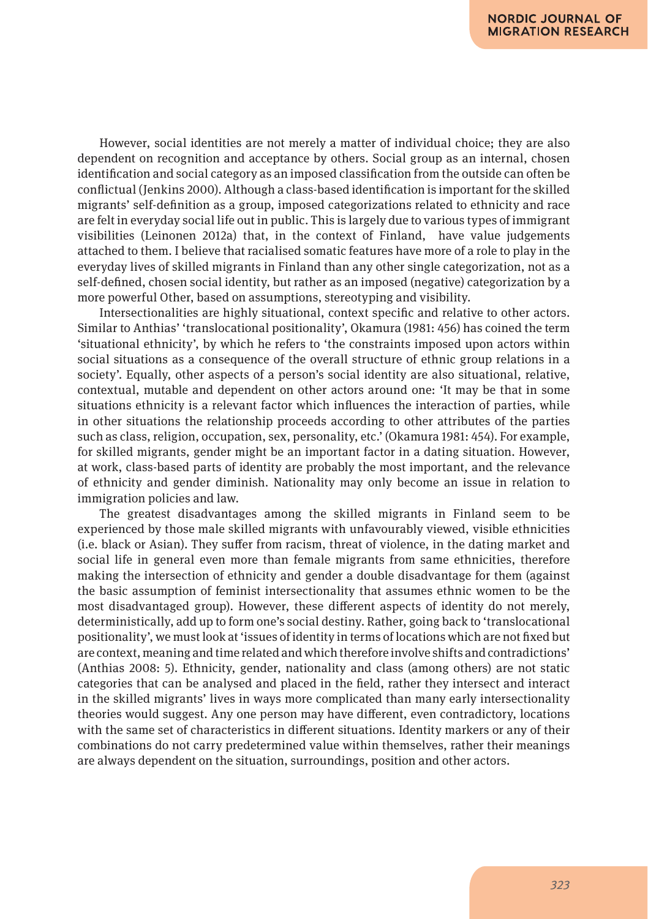However, social identities are not merely a matter of individual choice; they are also dependent on recognition and acceptance by others. Social group as an internal, chosen identification and social category as an imposed classification from the outside can often be conflictual (Jenkins 2000). Although a class-based identification is important for the skilled migrants' self-definition as a group, imposed categorizations related to ethnicity and race are felt in everyday social life out in public. This is largely due to various types of immigrant visibilities (Leinonen 2012a) that, in the context of Finland, have value judgements attached to them. I believe that racialised somatic features have more of a role to play in the everyday lives of skilled migrants in Finland than any other single categorization, not as a self-defined, chosen social identity, but rather as an imposed (negative) categorization by a more powerful Other, based on assumptions, stereotyping and visibility.

Intersectionalities are highly situational, context specific and relative to other actors. Similar to Anthias' 'translocational positionality', Okamura (1981: 456) has coined the term 'situational ethnicity', by which he refers to 'the constraints imposed upon actors within social situations as a consequence of the overall structure of ethnic group relations in a society'. Equally, other aspects of a person's social identity are also situational, relative, contextual, mutable and dependent on other actors around one: 'It may be that in some situations ethnicity is a relevant factor which influences the interaction of parties, while in other situations the relationship proceeds according to other attributes of the parties such as class, religion, occupation, sex, personality, etc.' (Okamura 1981: 454). For example, for skilled migrants, gender might be an important factor in a dating situation. However, at work, class-based parts of identity are probably the most important, and the relevance of ethnicity and gender diminish. Nationality may only become an issue in relation to immigration policies and law.

The greatest disadvantages among the skilled migrants in Finland seem to be experienced by those male skilled migrants with unfavourably viewed, visible ethnicities (i.e. black or Asian). They suffer from racism, threat of violence, in the dating market and social life in general even more than female migrants from same ethnicities, therefore making the intersection of ethnicity and gender a double disadvantage for them (against the basic assumption of feminist intersectionality that assumes ethnic women to be the most disadvantaged group). However, these different aspects of identity do not merely, deterministically, add up to form one's social destiny. Rather, going back to 'translocational positionality', we must look at 'issues of identity in terms of locations which are not fixed but are context, meaning and time related and which therefore involve shifts and contradictions' (Anthias 2008: 5). Ethnicity, gender, nationality and class (among others) are not static categories that can be analysed and placed in the field, rather they intersect and interact in the skilled migrants' lives in ways more complicated than many early intersectionality theories would suggest. Any one person may have different, even contradictory, locations with the same set of characteristics in different situations. Identity markers or any of their combinations do not carry predetermined value within themselves, rather their meanings are always dependent on the situation, surroundings, position and other actors.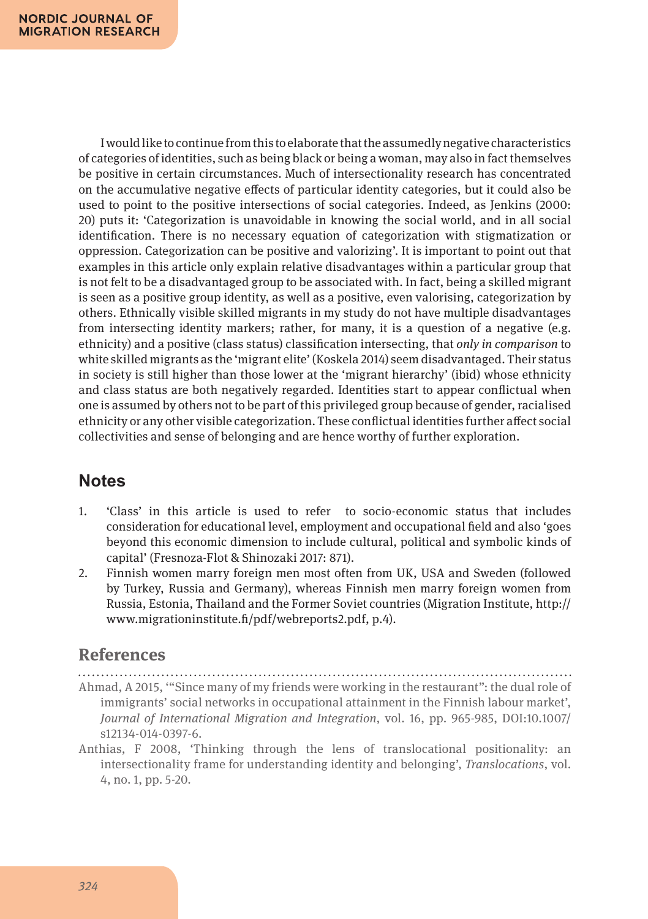I would like to continue from this to elaborate that the assumedly negative characteristics of categories of identities, such as being black or being a woman, may also in fact themselves be positive in certain circumstances. Much of intersectionality research has concentrated on the accumulative negative effects of particular identity categories, but it could also be used to point to the positive intersections of social categories. Indeed, as Jenkins (2000: 20) puts it: 'Categorization is unavoidable in knowing the social world, and in all social identification. There is no necessary equation of categorization with stigmatization or oppression. Categorization can be positive and valorizing'. It is important to point out that examples in this article only explain relative disadvantages within a particular group that is not felt to be a disadvantaged group to be associated with. In fact, being a skilled migrant is seen as a positive group identity, as well as a positive, even valorising, categorization by others. Ethnically visible skilled migrants in my study do not have multiple disadvantages from intersecting identity markers; rather, for many, it is a question of a negative (e.g. ethnicity) and a positive (class status) classification intersecting, that *only in comparison* to white skilled migrants as the 'migrant elite' (Koskela 2014) seem disadvantaged. Their status in society is still higher than those lower at the 'migrant hierarchy' (ibid) whose ethnicity and class status are both negatively regarded. Identities start to appear conflictual when one is assumed by others not to be part of this privileged group because of gender, racialised ethnicity or any other visible categorization. These conflictual identities further affect social collectivities and sense of belonging and are hence worthy of further exploration.

# **Notes**

- 1. 'Class' in this article is used to refer to socio-economic status that includes consideration for educational level, employment and occupational field and also 'goes beyond this economic dimension to include cultural, political and symbolic kinds of capital' (Fresnoza-Flot & Shinozaki 2017: 871).
- 2. Finnish women marry foreign men most often from UK, USA and Sweden (followed by Turkey, Russia and Germany), whereas Finnish men marry foreign women from Russia, Estonia, Thailand and the Former Soviet countries (Migration Institute, http:// www.migrationinstitute.fi/pdf/webreports2.pdf, p.4).

### **References**

- Ahmad, A 2015, '"Since many of my friends were working in the restaurant": the dual role of immigrants' social networks in occupational attainment in the Finnish labour market', *Journal of International Migration and Integration*, vol. 16, pp. 965-985, DOI:10.1007/ s12134-014-0397-6.
- Anthias, F 2008, 'Thinking through the lens of translocational positionality: an intersectionality frame for understanding identity and belonging', *Translocations*, vol. 4, no. 1, pp. 5-20.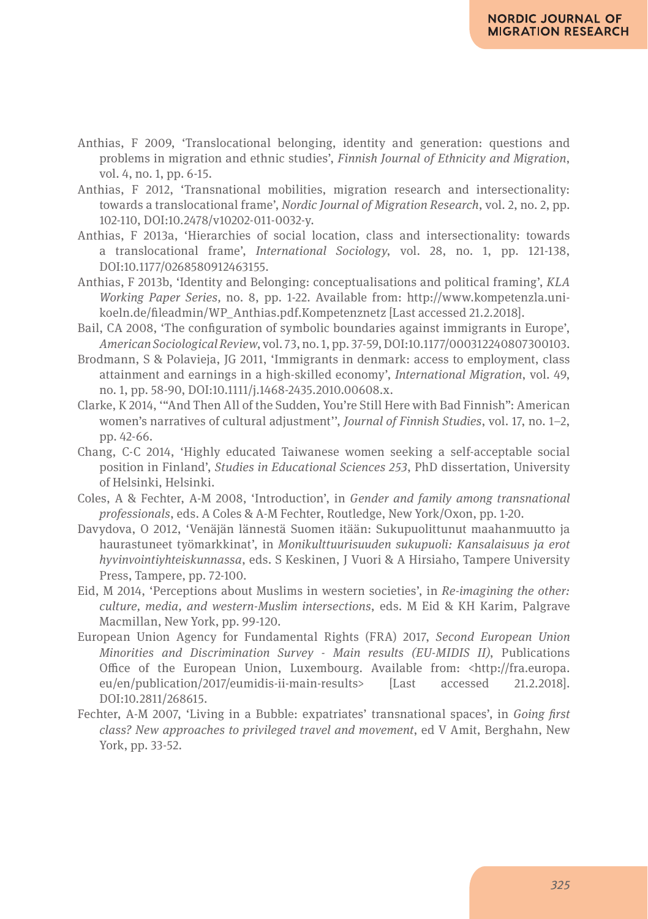- Anthias, F 2009, 'Translocational belonging, identity and generation: questions and problems in migration and ethnic studies', *Finnish Journal of Ethnicity and Migration*, vol. 4, no. 1, pp. 6-15.
- Anthias, F 2012, 'Transnational mobilities, migration research and intersectionality: towards a translocational frame', *Nordic Journal of Migration Research*, vol. 2, no. 2, pp. 102-110, DOI:10.2478/v10202-011-0032-y.
- Anthias, F 2013a, 'Hierarchies of social location, class and intersectionality: towards a translocational frame', *International Sociology*, vol. 28, no. 1, pp. 121-138, DOI:10.1177/0268580912463155.
- Anthias, F 2013b, 'Identity and Belonging: conceptualisations and political framing', *KLA Working Paper Series,* no. 8, pp. 1-22. Available from: http://www.kompetenzla.unikoeln.de/fileadmin/WP\_Anthias.pdf.Kompetenznetz [Last accessed 21.2.2018].
- Bail, CA 2008, 'The configuration of symbolic boundaries against immigrants in Europe', *American Sociological Review*, vol. 73, no. 1, pp. 37-59, DOI:10.1177/000312240807300103.
- Brodmann, S & Polavieja, JG 2011, 'Immigrants in denmark: access to employment, class attainment and earnings in a high‐skilled economy', *International Migration*, vol. 49, no. 1, pp. 58-90, DOI:10.1111/j.1468-2435.2010.00608.x.
- Clarke, K 2014, '"And Then All of the Sudden, You're Still Here with Bad Finnish": American women's narratives of cultural adjustment'', *Journal of Finnish Studies*, vol. 17, no. 1–2, pp. 42-66.
- Chang, C-C 2014, 'Highly educated Taiwanese women seeking a self-acceptable social position in Finland', *Studies in Educational Sciences 253*, PhD dissertation, University of Helsinki, Helsinki.
- Coles, A & Fechter, A-M 2008, 'Introduction', in *Gender and family among transnational professionals*, eds. A Coles & A-M Fechter, Routledge, New York/Oxon, pp. 1-20.
- Davydova, O 2012, 'Venäjän lännestä Suomen itään: Sukupuolittunut maahanmuutto ja haurastuneet työmarkkinat', in *Monikulttuurisuuden sukupuoli: Kansalaisuus ja erot hyvinvointiyhteiskunnassa*, eds. S Keskinen, J Vuori & A Hirsiaho, Tampere University Press, Tampere, pp. 72-100.
- Eid, M 2014, 'Perceptions about Muslims in western societies', in *Re-imagining the other: culture, media, and western-Muslim intersections*, eds. M Eid & KH Karim, Palgrave Macmillan, New York, pp. 99-120.
- European Union Agency for Fundamental Rights (FRA) 2017, *Second European Union Minorities and Discrimination Survey - Main results (EU-MIDIS II)*, Publications Office of the European Union, Luxembourg. Available from: <http://fra.europa. eu/en/publication/2017/eumidis-ii-main-results> [Last accessed 21.2.2018]. DOI:10.2811/268615.
- Fechter, A-M 2007, 'Living in a Bubble: expatriates' transnational spaces', in *Going first class? New approaches to privileged travel and movement*, ed V Amit, Berghahn, New York, pp. 33-52.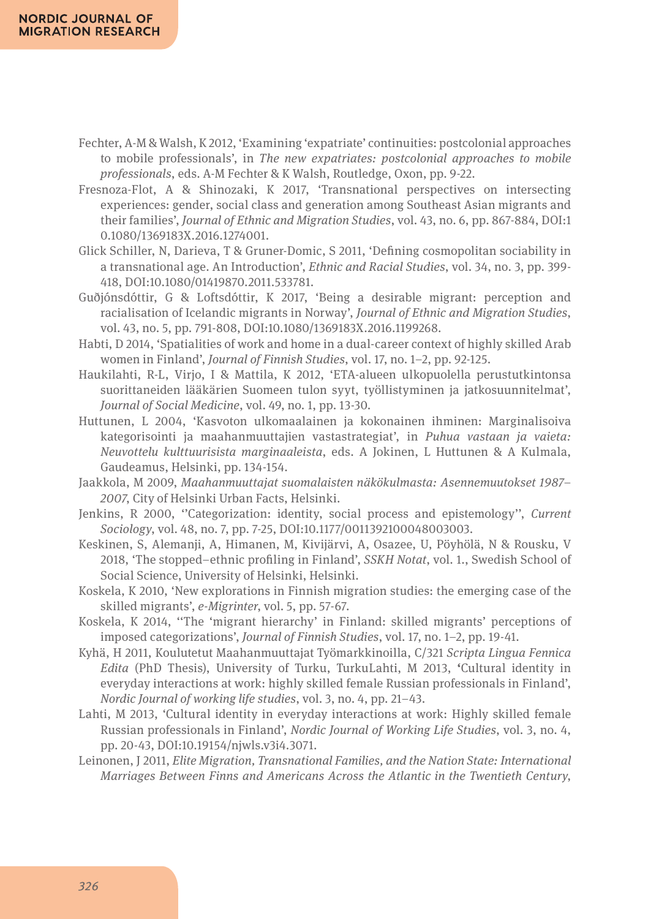- Fechter, A-M & Walsh, K 2012, 'Examining 'expatriate' continuities: postcolonial approaches to mobile professionals', in *The new expatriates: postcolonial approaches to mobile professionals*, eds. A-M Fechter & K Walsh, Routledge, Oxon, pp. 9-22.
- Fresnoza-Flot, A & Shinozaki, K 2017, 'Transnational perspectives on intersecting experiences: gender, social class and generation among Southeast Asian migrants and their families', *Journal of Ethnic and Migration Studies*, vol. 43, no. 6, pp. 867-884, DOI:1 0.1080/1369183X.2016.1274001.
- Glick Schiller, N, Darieva, T & Gruner-Domic, S 2011, 'Defining cosmopolitan sociability in a transnational age. An Introduction', *Ethnic and Racial Studies*, vol. 34, no. 3, pp. 399- 418, DOI:10.1080/01419870.2011.533781.
- Guðjónsdóttir, G & Loftsdóttir, K 2017, 'Being a desirable migrant: perception and racialisation of Icelandic migrants in Norway', *Journal of Ethnic and Migration Studies*, vol. 43, no. 5, pp. 791-808, DOI:10.1080/1369183X.2016.1199268.
- Habti, D 2014, 'Spatialities of work and home in a dual-career context of highly skilled Arab women in Finland', *Journal of Finnish Studies*, vol. 17, no. 1–2, pp. 92-125.
- Haukilahti, R-L, Virjo, I & Mattila, K 2012, 'ETA-alueen ulkopuolella perustutkintonsa suorittaneiden lääkärien Suomeen tulon syyt, työllistyminen ja jatkosuunnitelmat', *Journal of Social Medicine*, vol. 49, no. 1, pp. 13-30.
- Huttunen, L 2004, 'Kasvoton ulkomaalainen ja kokonainen ihminen: Marginalisoiva kategorisointi ja maahanmuuttajien vastastrategiat', in *Puhua vastaan ja vaieta: Neuvottelu kulttuurisista marginaaleista*, eds. A Jokinen, L Huttunen & A Kulmala, Gaudeamus, Helsinki, pp. 134-154.
- Jaakkola, M 2009, *Maahanmuuttajat suomalaisten näkökulmasta: Asennemuutokset 1987– 2007*, City of Helsinki Urban Facts, Helsinki.
- Jenkins, R 2000, ''Categorization: identity, social process and epistemology'', *Current Sociology*, vol. 48, no. 7, pp. 7-25, DOI:10.1177/0011392100048003003.
- Keskinen, S, Alemanji, A, Himanen, M, Kivijärvi, A, Osazee, U, Pöyhölä, N & Rousku, V 2018, 'The stopped–ethnic profiling in Finland', *SSKH Notat*, vol. 1., Swedish School of Social Science, University of Helsinki, Helsinki.
- Koskela, K 2010, 'New explorations in Finnish migration studies: the emerging case of the skilled migrants', *e-Migrinter*, vol. 5, pp. 57-67.
- Koskela, K 2014, ''The 'migrant hierarchy' in Finland: skilled migrants' perceptions of imposed categorizations', *Journal of Finnish Studies*, vol. 17, no. 1–2, pp. 19-41.
- Kyhä, H 2011, Koulutetut Maahanmuuttajat Työmarkkinoilla, C/321 *Scripta Lingua Fennica Edita* (PhD Thesis), University of Turku, TurkuLahti, M 2013, **'**Cultural identity in everyday interactions at work: highly skilled female Russian professionals in Finland', *Nordic Journal of working life studies*, vol. 3, no. 4, pp. 21–43.
- Lahti, M 2013, 'Cultural identity in everyday interactions at work: Highly skilled female Russian professionals in Finland', *Nordic Journal of Working Life Studies*, vol. 3, no. 4, pp. 20-43, DOI:10.19154/njwls.v3i4.3071.
- Leinonen, J 2011, *Elite Migration, Transnational Families, and the Nation State: International Marriages Between Finns and Americans Across the Atlantic in the Twentieth Century*,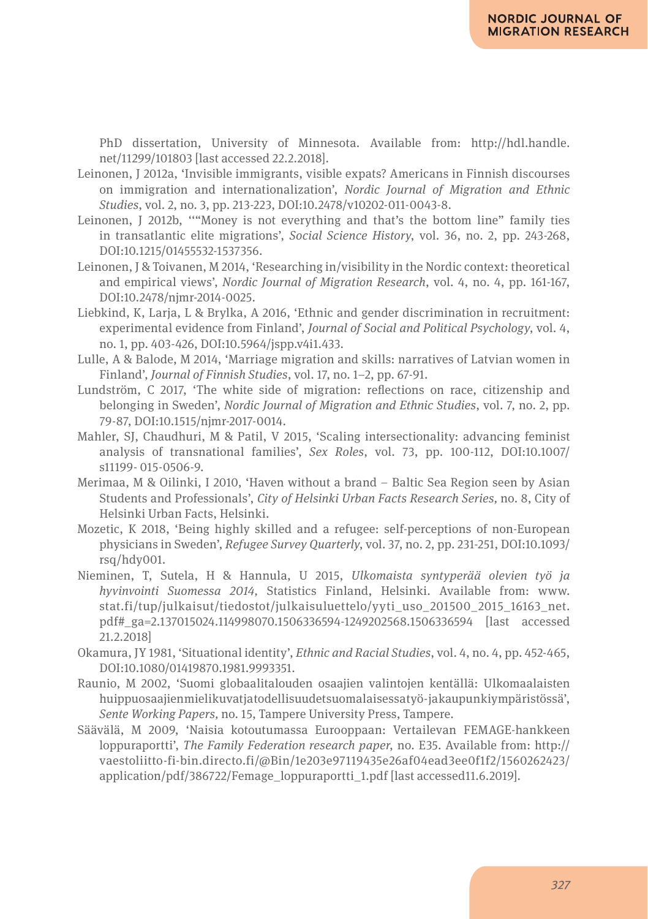PhD dissertation, University of Minnesota. Available from: http://hdl.handle. net/11299/101803 [last accessed 22.2.2018].

Leinonen, J 2012a, 'Invisible immigrants, visible expats? Americans in Finnish discourses on immigration and internationalization', *Nordic Journal of Migration and Ethnic Studies*, vol. 2, no. 3, pp. 213-223, DOI:10.2478/v10202-011-0043-8.

- Leinonen, J 2012b, ''"Money is not everything and that's the bottom line" family ties in transatlantic elite migrations', *Social Science History*, vol. 36, no. 2, pp. 243-268, DOI:10.1215/01455532-1537356.
- Leinonen, J & Toivanen, M 2014, 'Researching in/visibility in the Nordic context: theoretical and empirical views', *Nordic Journal of Migration Research*, vol. 4, no. 4, pp. 161-167, DOI:10.2478/njmr-2014-0025.
- Liebkind, K, Larja, L & Brylka, A 2016, 'Ethnic and gender discrimination in recruitment: experimental evidence from Finland', *Journal of Social and Political Psychology*, vol. 4, no. 1, pp. 403-426, DOI:10.5964/jspp.v4i1.433.
- Lulle, A & Balode, M 2014, 'Marriage migration and skills: narratives of Latvian women in Finland', *Journal of Finnish Studies*, vol. 17, no. 1–2, pp. 67-91.
- Lundström, C 2017, 'The white side of migration: reflections on race, citizenship and belonging in Sweden', *Nordic Journal of Migration and Ethnic Studies*, vol. 7, no. 2, pp. 79-87, DOI:10.1515/njmr-2017-0014.
- Mahler, SJ, Chaudhuri, M & Patil, V 2015, 'Scaling intersectionality: advancing feminist analysis of transnational families', *Sex Roles*, vol. 73, pp. 100-112, DOI:10.1007/ s11199- 015-0506-9.
- Merimaa, M & Oilinki, I 2010, 'Haven without a brand Baltic Sea Region seen by Asian Students and Professionals', *City of Helsinki Urban Facts Research Series,* no. 8, City of Helsinki Urban Facts, Helsinki.
- Mozetic, K 2018, 'Being highly skilled and a refugee: self-perceptions of non-European physicians in Sweden', *Refugee Survey Quarterly*, vol. 37, no. 2, pp. 231-251, DOI:10.1093/ rsq/hdy001.
- Nieminen, T, Sutela, H & Hannula, U 2015, *Ulkomaista syntyperää olevien työ ja hyvinvointi Suomessa 2014,* Statistics Finland, Helsinki. Available from: www. stat.fi/tup/julkaisut/tiedostot/julkaisuluettelo/yyti\_uso\_201500\_2015\_16163\_net. pdf#\_ga=2.137015024.114998070.1506336594-1249202568.1506336594 [last accessed 21.2.2018]
- Okamura, JY 1981, 'Situational identity', *Ethnic and Racial Studies*, vol. 4, no. 4, pp. 452-465, DOI:10.1080/01419870.1981.9993351.
- Raunio, M 2002, 'Suomi globaalitalouden osaajien valintojen kentällä: Ulkomaalaisten huippuosaajien mielikuvat ja todellisuudet suomalaisessa työ- ja kaupunkiympäristössä', *Sente Working Papers,* no. 15, Tampere University Press, Tampere.
- Säävälä, M 2009, 'Naisia kotoutumassa Eurooppaan: Vertailevan FEMAGE-hankkeen loppuraportti', *The Family Federation research paper*, no. E35. Available from: http:// vaestoliitto-fi-bin.directo.fi/@Bin/1e203e97119435e26af04ead3ee0f1f2/1560262423/ application/pdf/386722/Femage\_loppuraportti\_1.pdf [last accessed11.6.2019].